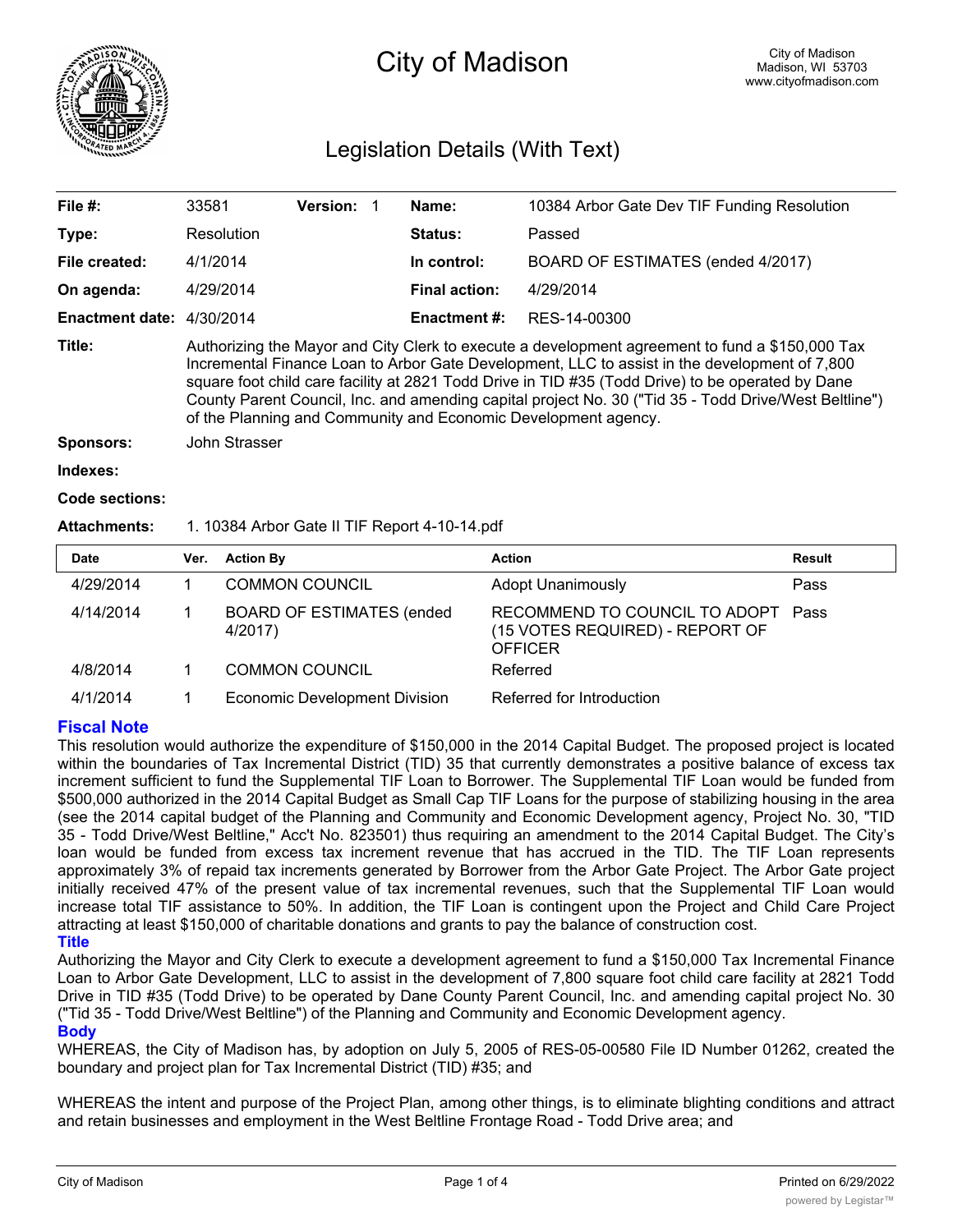

# City of Madison

## Legislation Details (With Text)

| File $#$ :                  | 33581                                                                                                                                                                                                                                                                                                                                                                                                                                                                            | <b>Version:</b> |                      | Name:          | 10384 Arbor Gate Dev TIF Funding Resolution |  |
|-----------------------------|----------------------------------------------------------------------------------------------------------------------------------------------------------------------------------------------------------------------------------------------------------------------------------------------------------------------------------------------------------------------------------------------------------------------------------------------------------------------------------|-----------------|----------------------|----------------|---------------------------------------------|--|
| Type:                       | Resolution                                                                                                                                                                                                                                                                                                                                                                                                                                                                       |                 |                      | <b>Status:</b> | Passed                                      |  |
| File created:               | 4/1/2014                                                                                                                                                                                                                                                                                                                                                                                                                                                                         |                 |                      | In control:    | BOARD OF ESTIMATES (ended 4/2017)           |  |
| On agenda:                  | 4/29/2014                                                                                                                                                                                                                                                                                                                                                                                                                                                                        |                 | <b>Final action:</b> | 4/29/2014      |                                             |  |
| Enactment date: $4/30/2014$ |                                                                                                                                                                                                                                                                                                                                                                                                                                                                                  |                 |                      | Enactment #:   | RES-14-00300                                |  |
| Title:                      | Authorizing the Mayor and City Clerk to execute a development agreement to fund a \$150,000 Tax<br>Incremental Finance Loan to Arbor Gate Development, LLC to assist in the development of 7,800<br>square foot child care facility at 2821 Todd Drive in TID #35 (Todd Drive) to be operated by Dane<br>County Parent Council, Inc. and amending capital project No. 30 ("Tid 35 - Todd Drive/West Beltline")<br>of the Planning and Community and Economic Development agency. |                 |                      |                |                                             |  |
| <b>Sponsors:</b>            | John Strasser                                                                                                                                                                                                                                                                                                                                                                                                                                                                    |                 |                      |                |                                             |  |
| Indexes:                    |                                                                                                                                                                                                                                                                                                                                                                                                                                                                                  |                 |                      |                |                                             |  |

```
Code sections:
```
**Attachments:** 1. 10384 Arbor Gate II TIF Report 4-10-14.pdf

| <b>Date</b> | Ver. | <b>Action By</b>                            | <b>Action</b>                                                                      | Result |
|-------------|------|---------------------------------------------|------------------------------------------------------------------------------------|--------|
| 4/29/2014   |      | <b>COMMON COUNCIL</b>                       | <b>Adopt Unanimously</b>                                                           | Pass   |
| 4/14/2014   |      | <b>BOARD OF ESTIMATES (ended</b><br>4/2017) | RECOMMEND TO COUNCIL TO ADOPT<br>(15 VOTES REQUIRED) - REPORT OF<br><b>OFFICER</b> | Pass   |
| 4/8/2014    |      | <b>COMMON COUNCIL</b>                       | Referred                                                                           |        |
| 4/1/2014    |      | <b>Economic Development Division</b>        | Referred for Introduction                                                          |        |

## **Fiscal Note**

This resolution would authorize the expenditure of \$150,000 in the 2014 Capital Budget. The proposed project is located within the boundaries of Tax Incremental District (TID) 35 that currently demonstrates a positive balance of excess tax increment sufficient to fund the Supplemental TIF Loan to Borrower. The Supplemental TIF Loan would be funded from \$500,000 authorized in the 2014 Capital Budget as Small Cap TIF Loans for the purpose of stabilizing housing in the area (see the 2014 capital budget of the Planning and Community and Economic Development agency, Project No. 30, "TID 35 - Todd Drive/West Beltline," Acc't No. 823501) thus requiring an amendment to the 2014 Capital Budget. The City's loan would be funded from excess tax increment revenue that has accrued in the TID. The TIF Loan represents approximately 3% of repaid tax increments generated by Borrower from the Arbor Gate Project. The Arbor Gate project initially received 47% of the present value of tax incremental revenues, such that the Supplemental TIF Loan would increase total TIF assistance to 50%. In addition, the TIF Loan is contingent upon the Project and Child Care Project attracting at least \$150,000 of charitable donations and grants to pay the balance of construction cost. **Title**

Authorizing the Mayor and City Clerk to execute a development agreement to fund a \$150,000 Tax Incremental Finance Loan to Arbor Gate Development, LLC to assist in the development of 7,800 square foot child care facility at 2821 Todd Drive in TID #35 (Todd Drive) to be operated by Dane County Parent Council, Inc. and amending capital project No. 30 ("Tid 35 - Todd Drive/West Beltline") of the Planning and Community and Economic Development agency. **Body**

WHEREAS, the City of Madison has, by adoption on July 5, 2005 of RES-05-00580 File ID Number 01262, created the boundary and project plan for Tax Incremental District (TID) #35; and

WHEREAS the intent and purpose of the Project Plan, among other things, is to eliminate blighting conditions and attract and retain businesses and employment in the West Beltline Frontage Road - Todd Drive area; and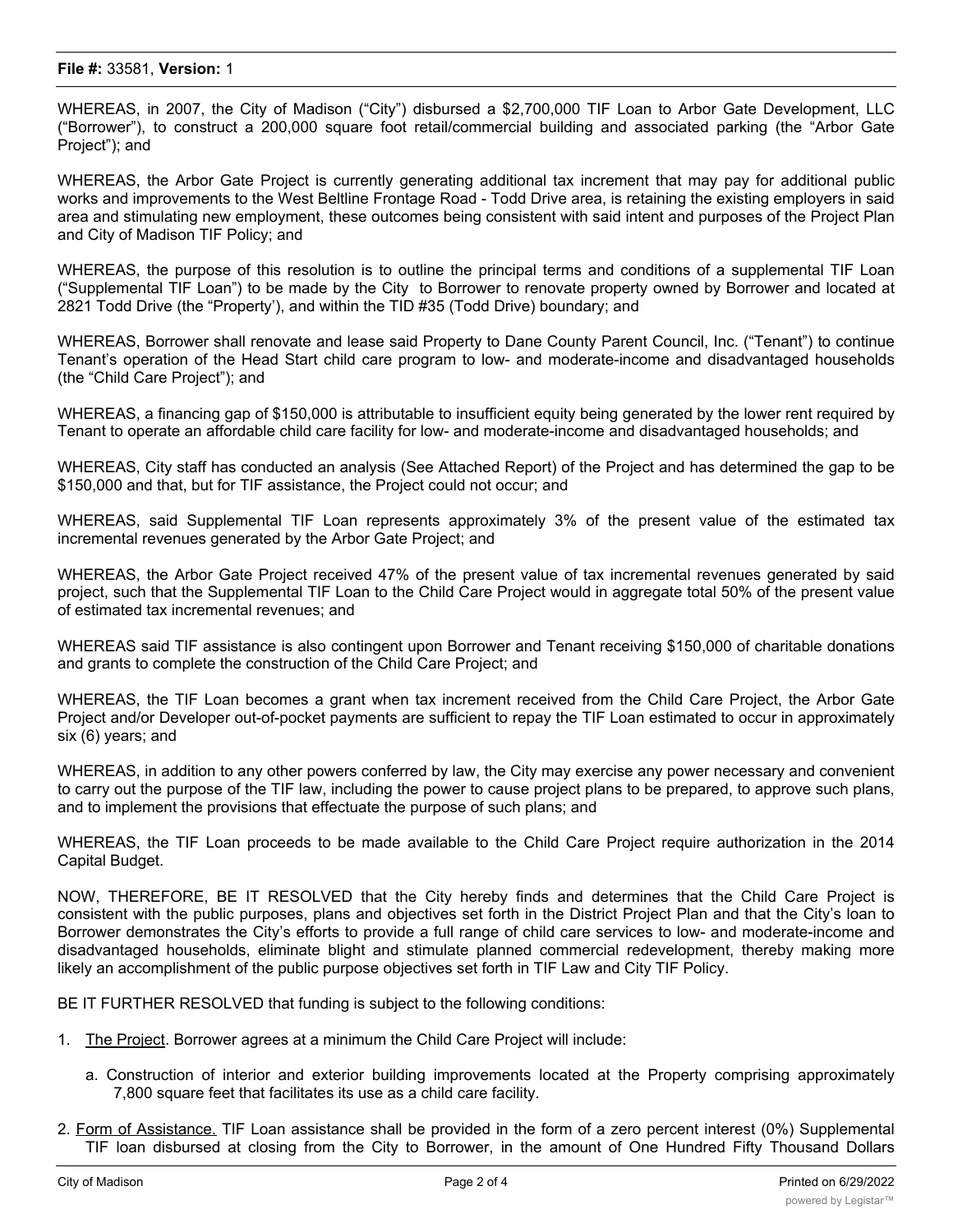### **File #:** 33581, **Version:** 1

WHEREAS, in 2007, the City of Madison ("City") disbursed a \$2,700,000 TIF Loan to Arbor Gate Development, LLC ("Borrower"), to construct a 200,000 square foot retail/commercial building and associated parking (the "Arbor Gate Project"); and

WHEREAS, the Arbor Gate Project is currently generating additional tax increment that may pay for additional public works and improvements to the West Beltline Frontage Road - Todd Drive area, is retaining the existing employers in said area and stimulating new employment, these outcomes being consistent with said intent and purposes of the Project Plan and City of Madison TIF Policy; and

WHEREAS, the purpose of this resolution is to outline the principal terms and conditions of a supplemental TIF Loan ("Supplemental TIF Loan") to be made by the City to Borrower to renovate property owned by Borrower and located at 2821 Todd Drive (the "Property'), and within the TID #35 (Todd Drive) boundary; and

WHEREAS, Borrower shall renovate and lease said Property to Dane County Parent Council, Inc. ("Tenant") to continue Tenant's operation of the Head Start child care program to low- and moderate-income and disadvantaged households (the "Child Care Project"); and

WHEREAS, a financing gap of \$150,000 is attributable to insufficient equity being generated by the lower rent required by Tenant to operate an affordable child care facility for low- and moderate-income and disadvantaged households; and

WHEREAS, City staff has conducted an analysis (See Attached Report) of the Project and has determined the gap to be \$150,000 and that, but for TIF assistance, the Project could not occur; and

WHEREAS, said Supplemental TIF Loan represents approximately 3% of the present value of the estimated tax incremental revenues generated by the Arbor Gate Project; and

WHEREAS, the Arbor Gate Project received 47% of the present value of tax incremental revenues generated by said project, such that the Supplemental TIF Loan to the Child Care Project would in aggregate total 50% of the present value of estimated tax incremental revenues; and

WHEREAS said TIF assistance is also contingent upon Borrower and Tenant receiving \$150,000 of charitable donations and grants to complete the construction of the Child Care Project; and

WHEREAS, the TIF Loan becomes a grant when tax increment received from the Child Care Project, the Arbor Gate Project and/or Developer out-of-pocket payments are sufficient to repay the TIF Loan estimated to occur in approximately six (6) years; and

WHEREAS, in addition to any other powers conferred by law, the City may exercise any power necessary and convenient to carry out the purpose of the TIF law, including the power to cause project plans to be prepared, to approve such plans, and to implement the provisions that effectuate the purpose of such plans; and

WHEREAS, the TIF Loan proceeds to be made available to the Child Care Project require authorization in the 2014 Capital Budget.

NOW, THEREFORE, BE IT RESOLVED that the City hereby finds and determines that the Child Care Project is consistent with the public purposes, plans and objectives set forth in the District Project Plan and that the City's loan to Borrower demonstrates the City's efforts to provide a full range of child care services to low- and moderate-income and disadvantaged households, eliminate blight and stimulate planned commercial redevelopment, thereby making more likely an accomplishment of the public purpose objectives set forth in TIF Law and City TIF Policy.

BE IT FURTHER RESOLVED that funding is subject to the following conditions:

- 1. The Project. Borrower agrees at a minimum the Child Care Project will include:
	- a. Construction of interior and exterior building improvements located at the Property comprising approximately 7,800 square feet that facilitates its use as a child care facility.
- 2. Form of Assistance. TIF Loan assistance shall be provided in the form of a zero percent interest (0%) Supplemental TIF loan disbursed at closing from the City to Borrower, in the amount of One Hundred Fifty Thousand Dollars

 $\mathcal{L}_{\mathcal{A}}$  , said Supplemental Tif Loan shall partially finance Borrower's development of the Child Care Project and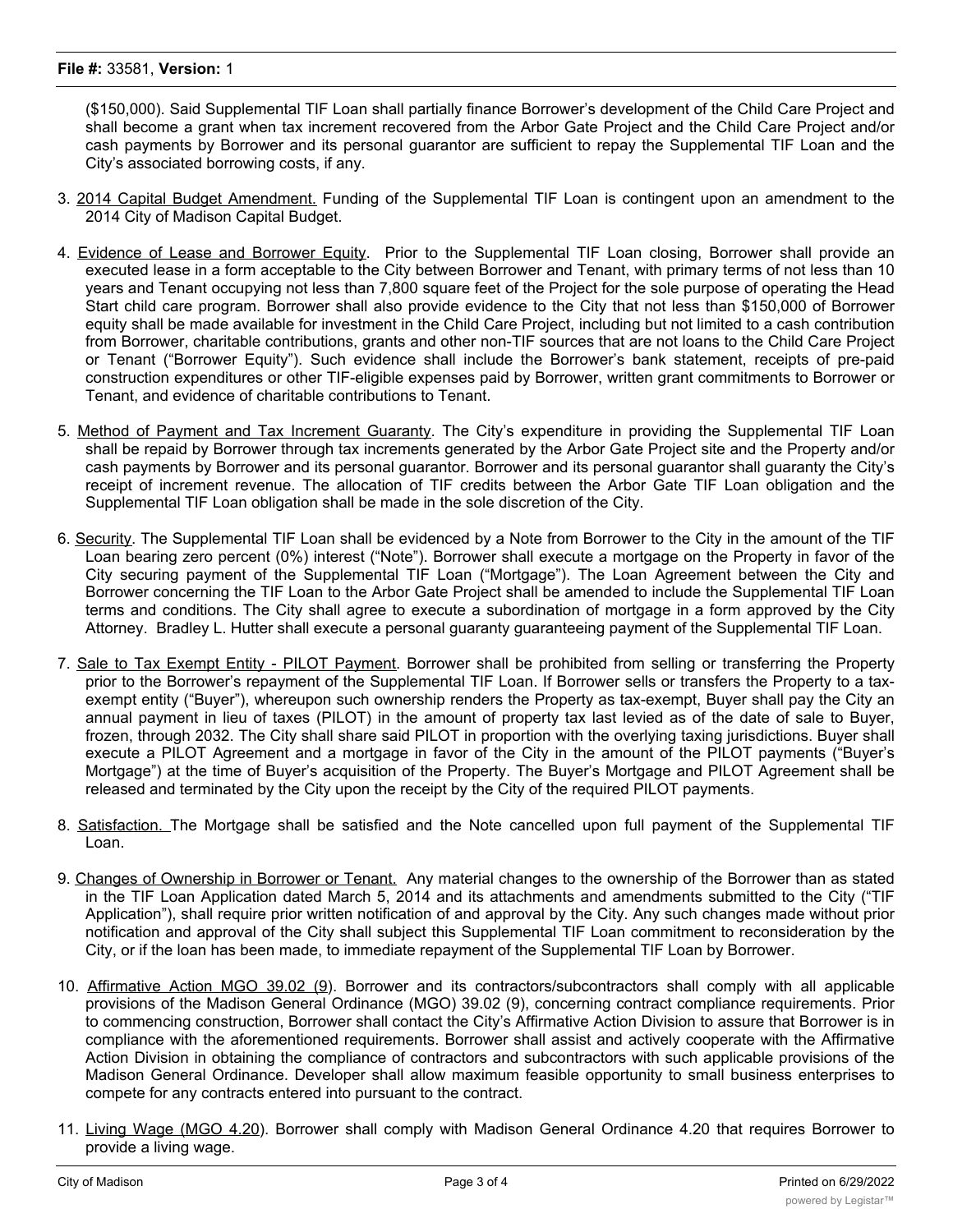### **File #:** 33581, **Version:** 1

(\$150,000). Said Supplemental TIF Loan shall partially finance Borrower's development of the Child Care Project and shall become a grant when tax increment recovered from the Arbor Gate Project and the Child Care Project and/or cash payments by Borrower and its personal guarantor are sufficient to repay the Supplemental TIF Loan and the City's associated borrowing costs, if any.

- 3. 2014 Capital Budget Amendment. Funding of the Supplemental TIF Loan is contingent upon an amendment to the 2014 City of Madison Capital Budget.
- 4. Evidence of Lease and Borrower Equity. Prior to the Supplemental TIF Loan closing, Borrower shall provide an executed lease in a form acceptable to the City between Borrower and Tenant, with primary terms of not less than 10 years and Tenant occupying not less than 7,800 square feet of the Project for the sole purpose of operating the Head Start child care program. Borrower shall also provide evidence to the City that not less than \$150,000 of Borrower equity shall be made available for investment in the Child Care Project, including but not limited to a cash contribution from Borrower, charitable contributions, grants and other non-TIF sources that are not loans to the Child Care Project or Tenant ("Borrower Equity"). Such evidence shall include the Borrower's bank statement, receipts of pre-paid construction expenditures or other TIF-eligible expenses paid by Borrower, written grant commitments to Borrower or Tenant, and evidence of charitable contributions to Tenant.
- 5. Method of Payment and Tax Increment Guaranty. The City's expenditure in providing the Supplemental TIF Loan shall be repaid by Borrower through tax increments generated by the Arbor Gate Project site and the Property and/or cash payments by Borrower and its personal guarantor. Borrower and its personal guarantor shall guaranty the City's receipt of increment revenue. The allocation of TIF credits between the Arbor Gate TIF Loan obligation and the Supplemental TIF Loan obligation shall be made in the sole discretion of the City.
- 6. Security. The Supplemental TIF Loan shall be evidenced by a Note from Borrower to the City in the amount of the TIF Loan bearing zero percent (0%) interest ("Note"). Borrower shall execute a mortgage on the Property in favor of the City securing payment of the Supplemental TIF Loan ("Mortgage"). The Loan Agreement between the City and Borrower concerning the TIF Loan to the Arbor Gate Project shall be amended to include the Supplemental TIF Loan terms and conditions. The City shall agree to execute a subordination of mortgage in a form approved by the City Attorney. Bradley L. Hutter shall execute a personal guaranty guaranteeing payment of the Supplemental TIF Loan.
- 7. Sale to Tax Exempt Entity PILOT Payment. Borrower shall be prohibited from selling or transferring the Property prior to the Borrower's repayment of the Supplemental TIF Loan. If Borrower sells or transfers the Property to a taxexempt entity ("Buyer"), whereupon such ownership renders the Property as tax-exempt, Buyer shall pay the City an annual payment in lieu of taxes (PILOT) in the amount of property tax last levied as of the date of sale to Buyer, frozen, through 2032. The City shall share said PILOT in proportion with the overlying taxing jurisdictions. Buyer shall execute a PILOT Agreement and a mortgage in favor of the City in the amount of the PILOT payments ("Buyer's Mortgage") at the time of Buyer's acquisition of the Property. The Buyer's Mortgage and PILOT Agreement shall be released and terminated by the City upon the receipt by the City of the required PILOT payments.
- 8. Satisfaction. The Mortgage shall be satisfied and the Note cancelled upon full payment of the Supplemental TIF Loan.
- 9. Changes of Ownership in Borrower or Tenant. Any material changes to the ownership of the Borrower than as stated in the TIF Loan Application dated March 5, 2014 and its attachments and amendments submitted to the City ("TIF Application"), shall require prior written notification of and approval by the City. Any such changes made without prior notification and approval of the City shall subject this Supplemental TIF Loan commitment to reconsideration by the City, or if the loan has been made, to immediate repayment of the Supplemental TIF Loan by Borrower.
- 10. Affirmative Action MGO 39.02 (9). Borrower and its contractors/subcontractors shall comply with all applicable provisions of the Madison General Ordinance (MGO) 39.02 (9), concerning contract compliance requirements. Prior to commencing construction, Borrower shall contact the City's Affirmative Action Division to assure that Borrower is in compliance with the aforementioned requirements. Borrower shall assist and actively cooperate with the Affirmative Action Division in obtaining the compliance of contractors and subcontractors with such applicable provisions of the Madison General Ordinance. Developer shall allow maximum feasible opportunity to small business enterprises to compete for any contracts entered into pursuant to the contract.
- 11. Living Wage (MGO 4.20). Borrower shall comply with Madison General Ordinance 4.20 that requires Borrower to provide a living wage.